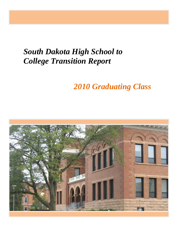# *South Dakota High School to College Transition Report*

# *2010 Graduating Class*

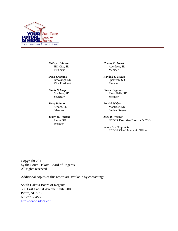

*Kathryn Johnson* Hill City, SD President

*Dean Krogman* Brookings, SD Vice President

*Randy Schaefer* Madison, SD Secretary

*Terry Baloun* Seneca, SD Member

*James O. Hansen* Pierre, SD Member

*Harvey C. Jewett* Aberdeen, SD Member

*Randall K. Morris* Spearfish, SD Member

*Carole Pagones* Sioux Falls, SD Member

*Patrick Weber* Montrose, SD Student Regent

*Jack R. Warner* SDBOR Executive Director & CEO

*Samuel B. Gingerich* SDBOR Chief Academic Officer

Copyright 2011 by the South Dakota Board of Regents All rights reserved

Additional copies of this report are available by contacting:

South Dakota Board of Regents 306 East Capital Avenue, Suite 200 Pierre, SD 57501 605-773-3455 [http://www.sdbor.edu](mailto:pault@sdbor.edu)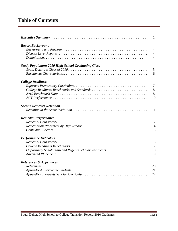# **Table of Contents**

|                                                            | 1              |
|------------------------------------------------------------|----------------|
| <b>Report Background</b>                                   |                |
|                                                            | $\overline{4}$ |
|                                                            | $\overline{4}$ |
|                                                            | $\overline{4}$ |
| <b>Study Population: 2010 High School Graduating Class</b> |                |
|                                                            | 5              |
|                                                            | 6              |
| <b>College Readiness</b>                                   |                |
|                                                            | $\overline{7}$ |
|                                                            | 8              |
|                                                            | 8              |
|                                                            | 10             |
| <b>Second Semester Retention</b>                           |                |
|                                                            | 11             |
| <b>Remedial Performance</b>                                |                |
|                                                            | 12             |
|                                                            | 14             |
|                                                            | 15             |
| <b>Performance Indicators</b>                              |                |
|                                                            | 16             |
|                                                            | 17             |
| Opportunity Scholarship and Regents Scholar Recipients     | 18             |
|                                                            | 19             |
| References & Appendices                                    |                |
|                                                            | 20             |
|                                                            | 21             |
|                                                            | 22             |
|                                                            |                |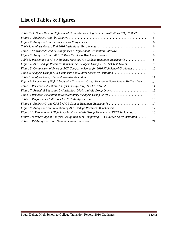# **List of Tables & Figures**

| Table ES.1: South Dakota High School Graduates Entering Regental Institutions (FT): 2006-2010<br>Table 2: "Advanced" and "Distinguished" High School Graduation Pathways<br>Figure 3: Analysis Group: ACT College Readiness Benchmark Scores<br>Table 3: Percentage of All SD Students Meeting ACT College Readiness Benchmarks<br>Figure 4: ACT College Readiness Benchmarks: Analysis Group vs. All SD Test Takers<br>Figure 5: Comparison of Average ACT Composite Scores for 2010 High School Graduates<br>Table 4: Analysis Group: ACT Composite and Subtest Scores by Institution<br>Figure 6: Percentage of High Schools with No Analysis Group Members in Remediation: Six-Year Trend<br>Table 6: Remedial Education (Analysis Group Only): Six-Year Trend<br>Figure 7: Remedial Education by Institution (2010 Analysis Group Only)<br>Table 7: Remedial Education by Race/Ethnicity (Analysis Group Only).<br>Figure 8: Analysis Group GPA by ACT College Readiness Benchmarks<br>Figure 9: Analysis Group Retention by ACT College Readiness Benchmarks<br>Figure 10: Percentage of High Schools with Analysis Group Members as SDOS Recipients.<br>Figure 11: Percentage of Analysis Group Members Completing AP Coursework: by Institution |    |
|---------------------------------------------------------------------------------------------------------------------------------------------------------------------------------------------------------------------------------------------------------------------------------------------------------------------------------------------------------------------------------------------------------------------------------------------------------------------------------------------------------------------------------------------------------------------------------------------------------------------------------------------------------------------------------------------------------------------------------------------------------------------------------------------------------------------------------------------------------------------------------------------------------------------------------------------------------------------------------------------------------------------------------------------------------------------------------------------------------------------------------------------------------------------------------------------------------------------------------------------------------|----|
|                                                                                                                                                                                                                                                                                                                                                                                                                                                                                                                                                                                                                                                                                                                                                                                                                                                                                                                                                                                                                                                                                                                                                                                                                                                         | 3  |
|                                                                                                                                                                                                                                                                                                                                                                                                                                                                                                                                                                                                                                                                                                                                                                                                                                                                                                                                                                                                                                                                                                                                                                                                                                                         | 5  |
|                                                                                                                                                                                                                                                                                                                                                                                                                                                                                                                                                                                                                                                                                                                                                                                                                                                                                                                                                                                                                                                                                                                                                                                                                                                         | 6  |
|                                                                                                                                                                                                                                                                                                                                                                                                                                                                                                                                                                                                                                                                                                                                                                                                                                                                                                                                                                                                                                                                                                                                                                                                                                                         | 6  |
|                                                                                                                                                                                                                                                                                                                                                                                                                                                                                                                                                                                                                                                                                                                                                                                                                                                                                                                                                                                                                                                                                                                                                                                                                                                         | 7  |
|                                                                                                                                                                                                                                                                                                                                                                                                                                                                                                                                                                                                                                                                                                                                                                                                                                                                                                                                                                                                                                                                                                                                                                                                                                                         | 8  |
|                                                                                                                                                                                                                                                                                                                                                                                                                                                                                                                                                                                                                                                                                                                                                                                                                                                                                                                                                                                                                                                                                                                                                                                                                                                         | 8  |
|                                                                                                                                                                                                                                                                                                                                                                                                                                                                                                                                                                                                                                                                                                                                                                                                                                                                                                                                                                                                                                                                                                                                                                                                                                                         | 9  |
|                                                                                                                                                                                                                                                                                                                                                                                                                                                                                                                                                                                                                                                                                                                                                                                                                                                                                                                                                                                                                                                                                                                                                                                                                                                         | 10 |
|                                                                                                                                                                                                                                                                                                                                                                                                                                                                                                                                                                                                                                                                                                                                                                                                                                                                                                                                                                                                                                                                                                                                                                                                                                                         | 10 |
|                                                                                                                                                                                                                                                                                                                                                                                                                                                                                                                                                                                                                                                                                                                                                                                                                                                                                                                                                                                                                                                                                                                                                                                                                                                         | 11 |
|                                                                                                                                                                                                                                                                                                                                                                                                                                                                                                                                                                                                                                                                                                                                                                                                                                                                                                                                                                                                                                                                                                                                                                                                                                                         | 14 |
|                                                                                                                                                                                                                                                                                                                                                                                                                                                                                                                                                                                                                                                                                                                                                                                                                                                                                                                                                                                                                                                                                                                                                                                                                                                         | 14 |
|                                                                                                                                                                                                                                                                                                                                                                                                                                                                                                                                                                                                                                                                                                                                                                                                                                                                                                                                                                                                                                                                                                                                                                                                                                                         | 15 |
|                                                                                                                                                                                                                                                                                                                                                                                                                                                                                                                                                                                                                                                                                                                                                                                                                                                                                                                                                                                                                                                                                                                                                                                                                                                         | 15 |
|                                                                                                                                                                                                                                                                                                                                                                                                                                                                                                                                                                                                                                                                                                                                                                                                                                                                                                                                                                                                                                                                                                                                                                                                                                                         | 16 |
|                                                                                                                                                                                                                                                                                                                                                                                                                                                                                                                                                                                                                                                                                                                                                                                                                                                                                                                                                                                                                                                                                                                                                                                                                                                         | 17 |
|                                                                                                                                                                                                                                                                                                                                                                                                                                                                                                                                                                                                                                                                                                                                                                                                                                                                                                                                                                                                                                                                                                                                                                                                                                                         | 17 |
|                                                                                                                                                                                                                                                                                                                                                                                                                                                                                                                                                                                                                                                                                                                                                                                                                                                                                                                                                                                                                                                                                                                                                                                                                                                         | 18 |
|                                                                                                                                                                                                                                                                                                                                                                                                                                                                                                                                                                                                                                                                                                                                                                                                                                                                                                                                                                                                                                                                                                                                                                                                                                                         | 19 |
|                                                                                                                                                                                                                                                                                                                                                                                                                                                                                                                                                                                                                                                                                                                                                                                                                                                                                                                                                                                                                                                                                                                                                                                                                                                         | 21 |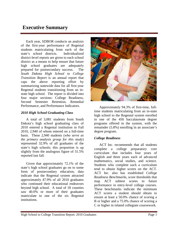# **Executive Summary**

Each year, SDBOR conducts an analysis of the first-year performance of Regental students matriculating from each of the state's school districts. Individualized district-level reports are given to each school district as a means to help ensure that future high school graduates are adequately prepared for postsecondary success. The *South Dakota High School to College Transition Report* is an annual report that caps the above reporting effort by summarizing statewide data for all first-year Regental students transitioning from an instate high school. The report is divided into four major sections: College Readiness, Second Semester Retention, Remedial Performance, and Performance Indicators.

#### *2010 High School Graduating Class*

A total of 3,081 students from South Dakota's high school graduating class of 2010 entered a Regental institution in Fall 2010, 2,940 of whom entered on a full-time basis. These 2,940 students (*who serve as the primary analysis group for this study*) represented 32.9% of all graduates of the state's high schools; this proportion is up slightly from the analogous figure of 31.5% reported last fall.

Given that approximately 72.1% of the state's high school graduates go on to some form of postsecondary education, data indicate that the Regental system attracted approximately 47.9% of all 2010 graduates who continued their educational endeavors beyond high school. A total of 18 counties saw 40.0% or more of their graduates matriculate to one of the six Regental institutions.



Approximately 94.3% of first-time, fulltime students matriculating from an in-state high school to the Regental system enrolled in one of the 450 baccalaureate degree programs offered in the system, with the remainder (5.8%) enrolling in an associate's degree program.

#### *College Readiness*

ACT Inc. recommends that all students complete a college preparatory core curriculum that includes four years of English and three years each of advanced mathematics, social studies, and science. Students who complete such a curriculum tend to obtain higher scores on the ACT. ACT Inc. also has established *College Readiness Benchmarks*, score thresholds that map ACT subtest scores to future performance in entry-level college courses. These benchmarks indicate the minimum ACT scores a student should obtain to ensure at least a 50.0% chance of scoring a B or higher and a 75.0% chance of scoring a C or higher in related collegiate coursework.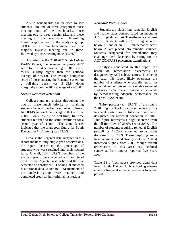ACT's benchmarks can be used to sort students into one of three categories: those meeting none of the benchmarks, those meeting one to three benchmarks, and those meeting all four benchmarks. Examining these categories within the analysis group, 34.8% met all four benchmarks, with the majority (54.4%) meeting one to three, followed by those meeting none (10.9%).

According to the 2010 *ACT South Dakota Profile Report*, the average composite ACT score for test takers graduating in 2010 was  $\bar{x}$  $=21.8$ , slightly higher than the national average of  $\bar{x}$ =21.0. The average composite score of those entering the Regental system on a full-time basis was  $\bar{x} = 22.9$ , down marginally from the 2009 average of  $\bar{x}$  =23.0.

#### *Second Semester Retention*

Colleges and universities throughout the country place much priority on retaining students beyond the first year of enrollment. NCHEMS national data suggest that – as of 2008 – only 76.6% of first-time, full-time students returned to the same institution for a second year of school. The same dataset indicates that the analogous figure for South Dakota (*all institutions*) was 73.0%.

Because the Regental data analyzed in this report includes only single-year observations, the report focuses on the percentage of students who were retained into their second *term*. Overall, 2,644 (89.9%) members of the analysis group were retained and completed credit in the Regental system beyond the first semester of enrollment. Looking at matched institutional data, 2,589 (88.1%) members of the analysis group were retained and completed credit at their original institutions.

#### *Remedial Performance*

Students are placed into remedial English and mathematics courses based on incoming ACT English and ACT mathematics subtest scores. Students with an ACT English score below 18 and/or an ACT mathematics score below 20 are placed into remedial courses. Students designated for remediation may challenge their placement by sitting for the ACT COMPASS placement examinations.

Analyses conducted in this report are based on remediation placements as designated by ACT subtest scores. This being the case, this report likely overstates the number of students who actually enroll in remedial courses, given that a sizable subset of students are able to avert remedial coursework by demonstrating adequate performance on the COMPASS exam.

Thirty percent (act. 29.6%) of the state's 2010 high school graduates entering the Regental system on a full-time basis were designated for remedial education in 2010. This figure represents a slight increase from the all-time low of 26.0% set in 2007. The number of students requiring remedial English  $(n=388$  or 13.2%) amounted to a slight decrease from 2009. Those requiring some form of math remediation (*n*=736 or 25.0%) increased slightly from 2009, though overall remediation in this area has declined somewhat from figures reported five years ago.

Table ES.1 (next page) provides trend data from South Dakota high school graduates entering Regental universities over a five-year period.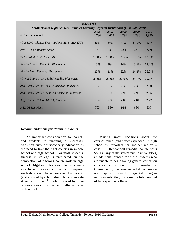| <b>Table ES.1</b><br><b>South Dakota High School Graduates Entering Regental Institutions (FT): 2006-2010</b> |       |       |       |       |       |
|---------------------------------------------------------------------------------------------------------------|-------|-------|-------|-------|-------|
|                                                                                                               | 2006  | 2007  | 2008  | 2009  | 2010  |
| # Entering Cohort                                                                                             | 2,786 | 2,665 | 2,791 | 2,736 | 2,940 |
| % of SD Graduates Entering Regental System (FT)                                                               | 30%   | 29%   | 31%   | 31.5% | 32.9% |
| Avg. ACT Composite Score                                                                                      | 22.7  | 23.2  | 23.1  | 23.0  | 22.9  |
| % Awarded Credit for CBAP                                                                                     | 10.0% | 10.8% | 11.5% | 12.6% | 12.5% |
| % with English Remedial Placement                                                                             | 13%   | 9%    | 14%   | 13.6% | 13.2% |
| % with Math Remedial Placement                                                                                | 25%   | 21%   | 22%   | 24.2% | 25.0% |
| % with English (or) Math Remedial Placement                                                                   | 30.0% | 26.0% | 27.9% | 29.1% | 29.6% |
| Avg. Cumu. GPA of Those w/ Remedial Placement                                                                 | 2.30  | 2.32  | 2.30  | 2.33  | 2.30  |
| Avg. Cumu. GPA of Those w/o Remedial Placement                                                                | 2.97  | 2.99  | 2.93  | 2.99  | 2.96  |
| Avg. Cumu. GPA of All (FT) Students                                                                           | 2.82  | 2.85  | 2.80  | 2.84  | 2.77  |
| # SDOS Recipients                                                                                             | 763   | 890   | 918   | 890   | 937   |

#### *Recommendations for Parents/Students*

An important consideration for parents and students in planning a successful transition into postsecondary education is the need to take the right courses in middle school and high school. For most students, success in college is predicated on the completion of rigorous coursework in high school. Algebra I, for example, is a wellestablished gateway course, and prepared students should be encouraged by parents (and allowed by school districts) to complete Algebra I in the  $8<sup>th</sup>$  grade followed by three or more years of advanced mathematics in high school.

Making smart decisions about the courses taken (and effort expended) in high school is important for another reason – *cost*. A three-credit remedial course costs \$831 at any of the state's public universities, an additional burden for those students who are unable to begin taking general education coursework without prior remediation. Consequently, because remedial courses do not apply toward Regental degree requirements, they increase the total amount of time spent in college.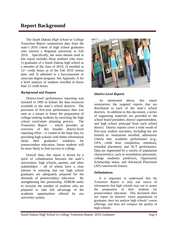## **Report Background**

The *South Dakota High School to College Transition Report* summarizes data from the state's 2010 cohort of high school graduates who entered a Regental university in Fall 2010. Specifically, the main dataset used in this report includes those students who were: *1*) graduates of a South Dakota high school as a member of the class of 2010; *2*) enrolled in 12+ credit hours as of the Fall 2010 census date; and *3*) admitted to a baccalaureate or associate degree program. See Appendix A for a brief analysis of students enrolled in fewer than 12 credit hours.

#### *Background and Purpose*

District-level performance reporting was initiated in 1995 to bolster the data resources available to the state's school districts. The provision of first-year performance data was seen as a means to foster the preparation of college-seeking students by enriching the high school curriculum planning process. The *Transition Report* – which provides an overview of this broader district-level reporting effort – is rooted in the hope that, by providing high schools with better information about their graduates' readiness for postsecondary education, future students will be more likely to find success in college.

Overall then, this report is driven by a spirit of collaboration between the state's universities, high schools, parents, and other stakeholders – all of whom have a clear interest in ensuring that our high school graduates are adequately prepared for the demands of postsecondary education. By strengthening this partnership, SDBOR seeks to increase the number of students who are prepared to take full advantage of the academic opportunities offered by our university system.



#### *District-Level Reports*

As mentioned above, this report summarizes the targeted reports that are distributed to each of the state's school districts. In addition to this document, a series of supporting materials are provided to the school board president, district superintendent, and high school principal from each school district. District reports cover a wide swath of first-year student outcomes, including but not limited to: institutions enrolled, admissions criteria met, academic performance (e.g., GPA, credit hour completion, retention), remedial placement, and ACT performance. Data are segmented by a variety of population characteristics, such as remediation placement, college readiness predictors, Opportunity Scholarship status, and Advanced Placement (AP) coursework history.

#### *Delimitations*

It is important to understand that the *Transition Report* is only one source of information that high schools may use to assess the preparation of their students for postsecondary education. This document does *not* report on districts' entire populations of graduates, does *not* analyze high schools' course offerings, and does *not* compare the quality of high schools.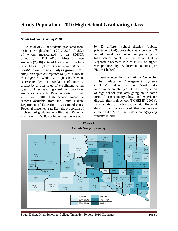# **Study Population: 2010 High School Graduating Class**

#### *South Dakota's Class of 2010*

A total of 8,929 students graduated from an in-state high school in 2010, 3,081 (34.5%) of whom matriculated to an SDBOR university in Fall 2010. Most of these students (2,940) entered the system on a fulltime basis. [*Note: These 2,940 students constitute the primary analysis group of this study, and often are referred to by this label in this report.]* While 172 high schools were represented by this population of students, district-by-district rates of enrollment varied greatly. After matching enrollment data from students entering the Regental system in Fall 2010 with 2010 high school graduation records available from the South Dakota Department of Education, it was found that a Regental placement rate [i.e., the proportion of high school graduates enrolling at a Regental institution] of 50.0% or higher was generated

by 23 different school districts (public, private, or tribal) across the state (see Figure 2 for additional data). After re-aggregating by high school county, it was found that a Regental placement rate of 40.0% or higher was produced by 18 different counties (see Figure 1 below).

Data reported by The National Center for Higher Education Management Systems (NCHEMS) indicate that South Dakota ranks fourth in the country (72.1%) in the proportion of high school graduates going on to some form of postsecondary educational experience directly after high school (NCHEMS, 2009a). Triangulating this observation with Regental data, it can be estimated that the system attracted 47.9% of the state's college-going students in 2010.



South Dakota High School to College Transition Report: 2010 Graduates Page 5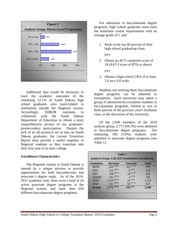

Additional data would be necessary to track the academic outcomes of the remaining 52.1% of South Dakota high school graduates who matriculated to institutions outside the Regental system. Accordingly, SDBOR continues to collaborate with the South Dakota Department of Education to obtain a more comprehensive picture of our graduates' postsecondary participation. Despite the lack of an all-inclusive set of data on South Dakota graduates, the current *Transition Report* does provide a useful snapshot of Regental students as they transition into their first year of in-state college.

#### *Enrollment Characteristics*

The Regental system in South Dakota is steered by a unique mission to provide opportunities for both *baccalaureate* and *associate's* degree study. As of the 2010- 2011 academic year, there were a total of 24 active associate degree programs in the Regental system, and more than 450 different baccalaureate degree programs.

For admission to baccalaureate degree programs, high school graduates must meet the minimum course requirements with an average grade of C and:

1. Rank in the top 60 percent of their high school graduating class;

*(or)*

2. Obtain an ACT composite score of 18 (SAT-I score of 870) or above;

*(or)*

3. Obtain a high school GPA of at least 2.6 on a 4.0 scale.

Students not meeting these baccalaureate degree programs can be admitted as exemptions. Each university may admit a group of admission-by-exception students to baccalaureate programs, limited in size to three percent of the previous year's freshman class, at the discretion of the university.

Of the 2,940 members of the 2010 analysis group, 2,771 (94.3%) were admitted to baccalaureate degree programs. The remaining 169 (5.8%) students were admitted to associate degree programs (see Table 1).

| Table 1<br><b>Analysis Group: Fall 2010 Institutional Enrollments</b> |                  |                         |               |  |
|-----------------------------------------------------------------------|------------------|-------------------------|---------------|--|
| <i><b>Institution</b></i>                                             | <b>Bachelor</b>  | <i><b>Associate</b></i> | <b>T</b> otal |  |
| <b>BHSU</b>                                                           | $356^{(89\%)}$   | $43^{(11\%)}$           | 399           |  |
| <b>DSU</b>                                                            | $210^{(96\%)}$   | $8^{(4\%)}$             | 218           |  |
| <b>NSU</b>                                                            | 198 (89%)        | $24^{(11\%)}$           | 222           |  |
| <b>SDSMT</b>                                                          | $192^{(98\%)}$   | $4^{(2\%)}$             | 196           |  |
| <b>SDSU</b>                                                           | $1,254^{(98\%)}$ | $22^{(2\%)}$            | 1,276         |  |
| <b>USD</b>                                                            | 561 (89%)        | $68^{(11\%)}$           | 629           |  |
| <b>System</b>                                                         | $2,771^{(94\%)}$ | $169^{(6%)}$            | 2,940         |  |
|                                                                       |                  |                         |               |  |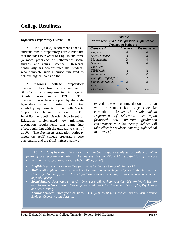# **College Readiness**

#### *Rigorous Preparatory Curriculum*

ACT Inc. (2005a) recommends that all students take a preparatory core curriculum that includes four years of English and three (or more) years each of mathematics, social studies, and natural science. Research continually has demonstrated that students who complete such a curriculum tend to achieve higher scores on the ACT.

A rigorous college preparatory curriculum has been a cornerstone of SDBOR since it implemented its Regents Scholar curriculum in 1990. This curriculum was later adopted by the state legislature when it established initial eligibility requirements for the South Dakota Opportunity Scholarship program in 2004. In 2005 the South Dakota Department of Education implemented new minimum graduation requirements that came into effect beginning with the graduating class of 2010. The *Advanced* graduation pathway meets the ACT college preparatory core curriculum, and the *Distinguished* pathway

| Table 2<br>"Advanced" and "Distinguished" High School<br><b>Graduation Pathways</b> |                             |                               |  |  |  |  |
|-------------------------------------------------------------------------------------|-----------------------------|-------------------------------|--|--|--|--|
| <b>Coursework</b>                                                                   |                             | <b>Advanced</b> Distinguished |  |  |  |  |
| English                                                                             | 4                           |                               |  |  |  |  |
| Social Science                                                                      | 3                           | 3                             |  |  |  |  |
| <i>Mathematics</i>                                                                  | 3                           | 4                             |  |  |  |  |
| <i>Science</i>                                                                      | 3                           | 4                             |  |  |  |  |
| Fine Arts                                                                           |                             | 1                             |  |  |  |  |
| PE/Health                                                                           | $\frac{1}{2}$               | $\frac{1}{2}$                 |  |  |  |  |
| <i>Economics</i>                                                                    | $\frac{1}{2}$               | $\frac{1}{2}$                 |  |  |  |  |
| Foreign Language                                                                    |                             | $\mathcal{D}_{\mathcal{A}}$   |  |  |  |  |
| <b>Computer Studies</b>                                                             | $\mathcal{D}_{\mathcal{A}}$ | $\frac{1}{2}$                 |  |  |  |  |
| Other                                                                               |                             |                               |  |  |  |  |
| Electives                                                                           |                             | $2\frac{1}{2}$                |  |  |  |  |

exceeds these recommendations to align with the South Dakota Regents Scholar curriculum. [*Note: The South Dakota Department of Education once again fashioned new minimum graduation requirements in 2009; these guidelines will take effect for students entering high school in 2010-11.*]

 *"ACT has long held that the core curriculum best prepares students for college or other forms of postsecondary training. The courses that constitute ACT's definition of the core curriculum, by subject area, are:" (ACT, 2005a, p. 34)*

- *English (four years or more) – One year credit for English 9 through English 12.*
- *Mathematics (three years or more) - One year credit each for Algebra I, Algebra II, and Geometry. One half-year credit each for Trigonometry, Calculus, or other mathematics courses beyond Algebra II.*
- *Social Studies (three years or more) – One year credit each for American History, World History, and American Government. One half-year credit each for Economics, Geography, Psychology, and other History.*
- *Natural Sciences (three years or more) – One year credit for General/Physical/Earth Science, Biology, Chemistry, and Physics.*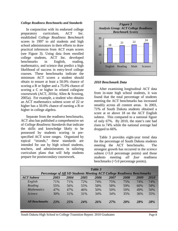#### *College Readiness Benchmarks and Standards*

In conjunction with its endorsed college preparatory curriculum, ACT Inc. established *College Readiness Benchmark* scores in 1997 to aid students and high school administrators in their efforts to draw practical inferences from ACT exam scores (see Figure 3). Using data from enrolled college students, ACT Inc. developed benchmarks in English, reading, mathematics, and science that predict a high likelihood of success in entry-level college courses. These benchmarks indicate the minimum ACT scores a student should obtain to ensure at least a 50.0% chance of scoring a B or higher and a 75.0% chance of scoring a C or higher in related collegiate coursework (ACT, 2010a; Allen & Sconing, 2005a). For example, a student who obtains an ACT mathematics subtest score of 22 or higher has a 50.0% chance of earning a B or higher in college algebra.

Separate from the readiness benchmarks, ACT also has published a comprehensive set of *College Readiness Standards* that indicate the skills and knowledge likely to be possessed by students scoring in prespecified ACT score ranges. Organized by topical "strands," these standards are intended for use by high school students, teachers, and administrators in tailoring curriculum plans that will help students prepare for postsecondary coursework.



#### *2010 Benchmark Data*

After examining longitudinal ACT data from in-state high school students, it was found that the total percentage of students meeting the ACT benchmarks has increased steadily across all content areas. In 2003, 71% of South Dakota students obtained a score at or above 18 on the ACT English subtest. This compared to a national figure of only 67%. By 2010, the state's rate had risen to 74% while the national average had dropped to 66%.

Table 3 provides eight-year trend data for the percentage of South Dakota students meeting the ACT benchmarks. The strongest growth has occurred in the *science* subtest  $(+5.0$  percentage points) and those students meeting *all four* readiness benchmarks (+5.0 percentage points).

|                       |            |      |            | Table 3 |                                                                               |      |      |            |
|-----------------------|------------|------|------------|---------|-------------------------------------------------------------------------------|------|------|------------|
|                       |            |      |            |         | <b>Percentage of All SD Students Meeting ACT College Readiness Benchmarks</b> |      |      |            |
| <b>ACT</b> Subtest    | 2003       | 2004 | 2005       | 2006    | 2007                                                                          | 2008 | 2009 | 2010       |
| English               | 71%        | 71%  | 72%        | 74%     | 75%                                                                           | 75%  | 74%  | 74%        |
| Reading               | 55%        | 56%  | 55%        | 58%     | 58%                                                                           | 59%  | 60%  | 58%        |
| <b>Mathematics</b>    | 47%        | 47%  | 46%        | 50%     | 50%                                                                           | 50%  | 49%  | 50%        |
| <i>Science</i>        | 30%        | 31%  | 31%        | 34%     | 34%                                                                           | 35%  | 36%  | 35%        |
| <b>All Benchmarks</b> | <b>23%</b> | 25%  | <b>24%</b> | 26%     | <b>27%</b>                                                                    | 28%  | 28%  | <b>28%</b> |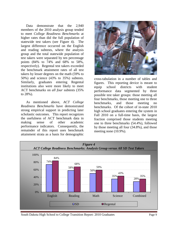Data demonstrate that the 2,940 members of the 2010 analysis group tended to meet *College Readiness Benchmarks* at higher rates than did the full population of statewide test takers (see Figure 4). The largest difference occurred on the English and reading subtests, where the analysis group and the total statewide population of test takers were separated by ten percentage points (84% to 74% and 68% to 58%, respectively). Regental test takers exceeded the benchmark attainment rates of all test takers by lesser degrees on the math (59% to 50%) and science (43% to 35%) subtests. Similarly, graduates entering Regental institutions also were more likely to meet ACT benchmarks on *all four* subtests (35% to 28%).

As mentioned above, *ACT College Readiness Benchmarks* have demonstrated strong empirical support in predicting later scholastic outcomes. This report recognizes the usefulness of ACT benchmark data in making sense of other academic performance indicators. Consequently, the remainder of this report uses benchmark attainment strata as a basis for demographic



cross-tabulation in a number of tables and figures. This reporting device is meant to equip school districts with student performance data segmented by three possible test taker groups: those meeting all four benchmarks, those meeting one to three benchmarks, and those meeting no benchmarks. Of the cohort of in-state 2010 high school graduates entering the system in Fall 2010 on a full-time basis, the largest fraction comprised those students meeting one to three benchmarks (54.4%), followed by those meeting all four (34.8%), and those meeting none (10.9%).

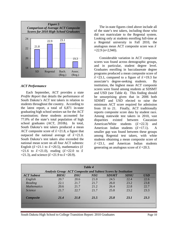

#### *ACT Performance*

Each September, ACT provides a state *Profile Report* that details the performance of South Dakota's ACT test takers in relation to students throughout the country. According to the latest report, a total of 6,871 in-state graduating high school seniors sat for the ACT examination; these students accounted for 77.0% of the state's total population of high school graduates (ACT, 2010b). In total, South Dakota's test takers produced a mean ACT composite score of  $\bar{x}$  =21.8, a figure that outpaced the national average of  $\bar{x}$ =21.0. South Dakota's test takers also exceeded the national mean score on all four ACT subtests: English ( $\bar{x}$  =21.1 to  $\bar{x}$  =20.5), mathematics ( $\bar{x}$  $\overline{x}$  =21.6 to  $\overline{x}$  =21.0), reading ( $\overline{x}$  =22.0 to  $\overline{x}$  $\overline{x}$  = 21.3), and science ( $\overline{x}$  = 21.9 to  $\overline{x}$  = 20.9).

The in-state figures cited above include all of the state's test takers, including those who did not matriculate to the Regental system. Looking only at students enrolling full-time at a Regental university in Fall 2010, the analogous mean ACT composite score was *xˉ*  $=$ 22.9  $(n=2,940)$ .

Considerable variation in ACT composite scores was found across demographic groups, and in particular, student degree level. Graduates enrolling in baccalaureate degree programs produced a mean composite score of  $\bar{x}$  =23.1, compared to a figure of  $\bar{x}$  =19.3 for associate's degree-seeking students. By institution, the highest mean ACT composite scores were found among students at SDSMT and USD (see Table 4). This finding should be unsurprising given that in 2006 both SDSMT and USD elected to raise the minimum ACT score required for admission from 18 to 21. Finally, ACT traditionally reports composite score data by student race. Among statewide test takers in 2010, vast disparities existed between Caucasian American/White students  $(\bar{x} = 22.3)$  and American Indian students  $(\bar{x} = 17.1)$ . A smaller gap was found between these groups among Regental test takers, with white students obtaining a mean composite score of  $\bar{x}$  =23.1, and American Indian students generating an analogous score of  $\bar{x}$  =20.3.

|                       |                                                                        |            | Table 4    |              |             |            |
|-----------------------|------------------------------------------------------------------------|------------|------------|--------------|-------------|------------|
|                       | <b>Analysis Group: ACT Composite and Subtest Scores by Institution</b> |            |            |              |             |            |
| <b>ACT Subtest</b>    | <b>BHSU</b>                                                            | <b>DSU</b> | <b>NSU</b> | <b>SDSMT</b> | <b>SDSU</b> | <b>USD</b> |
| English               | 20.7                                                                   | 20.6       | 21.0       | 24.5         | 22.4        | 22.6       |
| Reading               | 22.1                                                                   | 21.7       | 21.7       | 26.0         | 23.2        | 23.8       |
| <b>Mathematics</b>    | 20.6                                                                   | 21.7       | 21.2       | 26.4         | 22.8        | 22.7       |
| <i><u>Science</u></i> | 21.7                                                                   | 22.7       | 21.7       | 25.8         | 23.2        | 23.3       |
| <b>Composite</b>      | 21.4                                                                   | 21.8       | 21.5       | 25.8         | 23.1        | 23.3       |
|                       |                                                                        |            |            |              |             |            |

South Dakota High School to College Transition Report: 2010 Graduates Page 10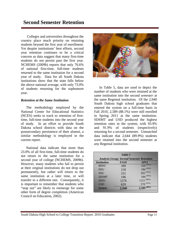# **Second Semester Retention**

Colleges and universities throughout the country place much priority on retaining students beyond the first year of enrollment. Yet despite institutions' best efforts, second year retention continues to be a critical concern as data suggest that many first-time students do not persist past the first year. NCHEMS (2009b) reports that only 76.6% of national first-time, full-time students returned to the same institution for a second year of study. Data for all South Dakota institutions show that the state falls below the above national average, with only 73.0% of students returning for the sophomore year.

#### *Retention at the Same Institution*

The methodology employed by the National Center for Educational Statistics (NCES) seeks to track to retention of firsttime, full-time students into the second year of study. In an effort to provide South Dakota school districts with data on the postsecondary persistence of their alumni, a similar methodology is employed in the current report.

National data indicate that more than 23.0% of all first-time, full-time students do not return to the same institution for a second year of college (NCHEMS, 2009b). However, many students who fail to persist at their original institutions do not drop out permanently, but rather will return to the same institution at a later time, or will transfer to a different one. Consequently, it is important to remember that students who "stop out" are likely to reemerge for some other form of degree completion (American Council on Education, 2002).



In Table 5, data are used to depict the number of students who were retained at the same institution into the second *semester* at the same Regental institution. Of the 2,940 South Dakota high school graduates that entered the system on a full-time basis in Fall 2010, 2,589 (88.1%) were still enrolled in Spring 2011 at the same institution. SDSMT and USD produced the highest retention rates in the system, with 93.9% and 91.9% of students (respectively) returning for a second semester. Unmatched data indicate that 2,644 (89.9%) students were retained into the second semester at *any* Regental institution.

| Table 5                                          |                  |  |  |  |  |  |
|--------------------------------------------------|------------------|--|--|--|--|--|
| <b>Analysis Group: Second Semester Retention</b> |                  |  |  |  |  |  |
| <i>FA10</i>                                      | <b>SP11</b>      |  |  |  |  |  |
| 399                                              | $(80\%)$<br>320  |  |  |  |  |  |
| 218                                              | $184^{(84\%)}$   |  |  |  |  |  |
| 222                                              | $202^{(91\%)}$   |  |  |  |  |  |
| 196                                              | $184^{(94\%)}$   |  |  |  |  |  |
| 1276                                             | $1121^{(88\%)}$  |  |  |  |  |  |
| 629                                              | 578 (92%)        |  |  |  |  |  |
| 2.940                                            | $2,589^{(88\%)}$ |  |  |  |  |  |
|                                                  |                  |  |  |  |  |  |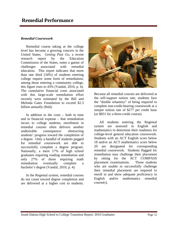## **Remedial Performance**

#### *Remedial Coursework*

Remedial course taking at the college level has become a growing concern in the United States. *Getting Past Go*, a recent research report by the Education Commission of the States, notes a gamut of challenges associated with remedial education. This report indicates that more than one third (34%) of students entering college require some form of remediation; among those entering a community college, this figure rises to 43% (Vandal, 2010, p. 4). The cumulative financial costs associated with this large-scale remediation effort recently were estimated by the Bill and Melinda Gates Foundation to exceed \$2.3 billion annually (Ibid).

In addition to the costs – both in time and in financial expense – that remediation incurs to college students, enrollment in remedial courses often delivers another undesirable consequence: obstructing students' progress toward the completion of a degree. Only a handful of students pegged for remedial coursework are able to successfully complete a degree program. Nationally, a mere 17% of high school graduates requiring reading remediation and only 27% of those requiring math remediation eventually complete a bachelor's degree (Vandal, 2010, p. 4).

In the Regental system, remedial courses do not count toward degree completion and are delivered at a higher cost to students.



Because all remedial courses are delivered at the self-support tuition rate, students face the "double whammy" of being required to complete non-credit-bearing coursework at a steeper tuition rate of \$277 per credit hour (or \$831 for a three-credit course).

All students entering the Regental system are assessed in English and mathematics to determine their readiness for college-level general education coursework. Students with an ACT English score below 18 and/or an ACT mathematics score below 20 are designated for corresponding remedial coursework. Students flagged for remediation may challenge their placement by sitting for the ACT COMPASS placement examinations. Those students who are unable to successfully challenge their remedial placement are required to enroll in and show adequate proficiency in English and/or mathematics remedial course(s).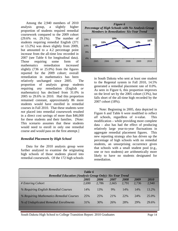Among the 2,940 members of 2010 analysis group, a slightly higher proportion of students required remedial coursework compared to the 2009 cohort (29.6% vs. 29.1%). The number of students requiring remedial English (371 or 13.2%) was down slightly from 2009, but amounted to a 4.2 percentage point increase from the all-time low recorded in 2007 (see Table 6 for longitudinal data). Those requiring some form of mathematics remediation increased slightly (736 or 25.0%) from the figures reported for the 2009 cohort; overall remediation in mathematics has been

relatively unchanged since 2005. The proportion of analysis group students requiring *any* remediation (English *or* mathematics) has declined from 31.0% in 2005 to 29.6% in 2010. Had this proportion remained constant, approximately 86 more students would have enrolled in remedial courses in Fall 2010. That these students were *not* placed into remedial coursework resulted in a direct cost savings of more than \$46,000 for these students and their families. [Note: This scenario assumes that these students would need to enroll in only one remedial course and would pass on the first attempt.]

#### *Remedial Placement by High School*

Data for the 2010 analysis group were further analyzed to examine the originating high schools of those students placed into remedial coursework. Of the 172 high schools



in South Dakota who sent at least one student to the Regental system in Fall 2010, 14.5% generated a remedial placement rate of 0.0%. As seen in Figure 6, this proportion improves on the level set by the 2005 cohort (13%), but falls short of the all-time high recorded by the 2007 cohort (18%).

Note: Beginning in 2005, data depicted in Figure 6 and Table 6 were modified to reflect *all* schools, regardless of *n*-value. This modification – while providing more complete data – also has had the effect of producing relatively large year-to-year fluctuations in aggregate remedial placement figures. This new reporting strategy also has driven up the percentage of high schools with no remedial students, an unsurprising occurrence given that schools with a small student pool (e.g., one or two students) are arithmetically more likely to have no students designated for remediation.

|                                                                 | Table 6 |       |       |       |       |       |
|-----------------------------------------------------------------|---------|-------|-------|-------|-------|-------|
| <b>Remedial Education (Analysis Group Only): Six-Year Trend</b> | 2005    | 2006  | 2007  | 2008  | 2009  | 2010  |
| # Entering Cohort                                               | 2,690   | 2,786 | 2,665 | 2,791 | 2,736 | 2,940 |
| % Requiring English Remedial Courses                            | 14%     | 13%   | 9%    | 14%   | 14%   | 13.2% |
| % Requiring Mathematics Remedial Courses                        | 25%     | 25%   | 21%   | 22%   | 24%   | 25.0% |
| % of Unduplicated Remedial Enrollments                          | 31%     | 30%   | 26%   | 28%   | 29%   | 29.6% |

South Dakota High School to College Transition Report: 2010 Graduates Page 14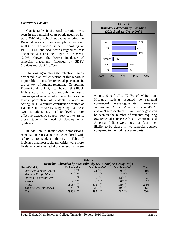#### *Contextual Factors*

Considerable institutional variation was seen in the remedial coursework needs of instate 2010 high school graduates entering the Regental system. For example, at or near 40.0% of the above students enrolling at BHSU, DSU and NSU were assigned to least one remedial course (see Figure 7). SDSMT (2.0%) showed the lowest incidence of remedial placement, followed by SDSU (26.6%) and USD (26.7%).

Thinking again about the retention figures presented in an earlier section of this report, it is possible to consider remedial placement in the context of student retention. Comparing Figure 7 and Table 5, it can be seen that Black Hills State University had not only the largest percentage of remediated students, but also the lowest percentage of students retained in Spring 2011. A similar confluence occurred at Dakota State University, suggesting that these two institutions may need to develop more effective academic support services to assist those students in need of developmental guidance.

In addition to institutional comparisons, remediation rates also can be explored with reference to student ethnicity. Table 7 indicates that most racial minorities were more likely to require remedial placement than were



whites. Specifically, 72.7% of white non-Hispanic students required no remedial coursework; the analogous rates for American Indians and African Americans were 49.0% and 42.9% respectively. Even wider gaps can be seen in the number of students requiring *two* remedial courses: African Americans and American Indians were more than four times likelier to be placed in two remedial courses compared to their white counterparts.

| Race/Ethnicity            | <b>No Remedial</b> | <b>One Remedial</b> | <b>Two Remedial</b> | <b>Total</b> |
|---------------------------|--------------------|---------------------|---------------------|--------------|
| American Indian/Alaskan   | $51^{(49\%)}$      | $24^{(23%)}$        | $29^{(28%)}$        | 104          |
| Asian or Pacific Islander | $20^{(77%)}$       | $5^{(19\%)}$        | $1^{(4\%)}$         | 26           |
| African American/Black    | $15^{(43%)}$       | $6^{(20\%)}$        | $13^{(37%)}$        | 35           |
| Hispanic                  | $12^{(50\%)}$      | $6^{(25%)}$         | $6^{(25%)}$         | 24           |
| White                     | $1813^{(73%)}$     | $513^{(21\%)}$      | $169^{(7\%)}$       | 2495         |
| Other/Unknown/Refused     | $75^{(63\%)}$      | $26^{(22\%)}$       | $19^{(16\%)}$       | 120          |
| <b>T</b> otal             | $1986^{(71\%)}$    | $581^{(21\%)}$      | $237^{(8\%)}$       | 2804         |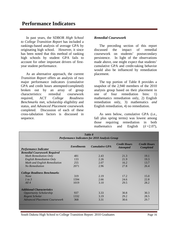In past years, the SDBOR *High School to College Transition Report* has included a rankings-based analysis of average GPA by originating high school. However, it since has been noted that this method of ranking high schools by student GPA fails to account for other important drivers of firstyear student performance.

As an alternative approach, the current *Transition Report* offers an analysis of two major performance indicators (cumulative GPA and credit hours attempted/completed) broken out by an array of group characteristics: remedial coursework required, ACT *College Readiness Benchmarks* met, scholarship eligibility and status, and *Advanced Placement* coursework completed. Discussion of each of these cross-tabulation factors is discussed in sequence.

#### *Remedial Coursework*

The preceding section of this report discussed the impact of remedial coursework on students' postsecondary persistence. In light of the observations made above, one might expect that students' cumulative GPA and credit-taking behavior would also be influenced by remediation placement.

The top portion of Table 8 provides a snapshot of the 2,940 members of the 2010 analysis group based on their placement in one of four remediation bins: 1) mathematics remediation only, 2) English remediation only, 3) mathematics *and* English remediation, 4) no remediation.

As seen below, cumulative GPA (i.e., fall plus spring terms) was lowest among those requiring remediation in both mathematics and English  $(\bar{x}=2.07)$ ,

| Table 8<br><b>Performance Indicators for 2010 Analysis Group</b> |                    |                       |                                         |                                         |  |
|------------------------------------------------------------------|--------------------|-----------------------|-----------------------------------------|-----------------------------------------|--|
| <b>Performance Indicator</b>                                     | <b>Enrollments</b> | <b>Cumulative GPA</b> | <b>Credit Hours</b><br><b>Attempted</b> | <b>Credit Hours</b><br><b>Completed</b> |  |
| <b>Remedial Coursework Required</b>                              |                    |                       |                                         |                                         |  |
| <b>Math Remediation Only</b>                                     | 481                | 2.43                  | 21.3                                    | 19.1                                    |  |
| <b>English Remediation Only</b>                                  | 133                | 2.26                  | 21.9                                    | 19.3                                    |  |
| Math and English Remediation                                     | 255                | 2.07                  | 16.2                                    | 13.7                                    |  |
| No Remediation                                                   | 2071               | 2.96                  | 27.8                                    | 26.4                                    |  |
| <b>College Readiness Benchmarks</b>                              |                    |                       |                                         |                                         |  |
| <b>None</b>                                                      | 319                | 2.19                  | 17.2                                    | 15.0                                    |  |
| 1 to 3                                                           | 1594               | 2.66                  | 24.6                                    | 22.8                                    |  |
| All4                                                             | 1019               | 3.10                  | 29.5                                    | 28.2                                    |  |
| <b>Additional Characteristics</b>                                |                    |                       |                                         |                                         |  |
| <b>Opportunity Scholarship</b>                                   | 937                | 3.33                  | 30.8                                    | 30.3                                    |  |
| Regent Scholar                                                   | 1332               | 3.19                  | 29.2                                    | 28.5                                    |  |
| <b>Advanced Placement Coursework</b>                             | 368                | 3.31                  | 30.6                                    | 29.7                                    |  |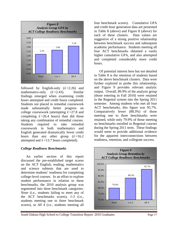

followed by English-only  $(\bar{x}=2.26)$  and mathematics-only  $(\bar{x}=2.43)$ . Similar findings emerged when examining credit hours attempted and credit hours completed. Students not placed in remedial coursework made substantially better progress on college coursework (attempting  $\bar{x}$  =27.8 and completing  $\bar{x}$  =26.4 hours) than did those taking any combination of remedial courses. Students required to take remedial coursework in both mathematics and English generated dramatically fewer credit hours than any other group  $(\bar{x}=16.2)$ attempted and  $\bar{x}$  =13.7 hours completed).

#### *College Readiness Benchmarks*

An earlier section of this report discussed the pre-established target scores on the ACT English, reading, mathematics and science subtests that are used to determine students' readiness for completing college-level courses. In an effort to explore student performance in relation to these benchmarks, the 2010 analysis group was segmented into three benchmark categories: *None* (i.e., students failing to meet any of the ACT benchmarks scores), *1-3* (i.e., students meeting one to three benchmark scores), or *All 4* (i.e., students meeting all

four benchmark scores). Cumulative GPA and credit hour generation data are presented in Table 8 (above) and Figure 8 (above) for each of these clusters. Data values are suggestive of a strong positive relationship between benchmark success and subsequent academic performance. Students meeting all four ACT benchmarks obtained a vastly higher cumulative GPA, and also attempted and completed considerably more credit hours.

Of potential interest here but not detailed in Table 8 is the retention of students based on the above benchmark clusters. Data were further explored to probe this relationship, and Figure 9 provides relevant analytic output. Overall, 89.9% of the analysis group (those entering in Fall 2010) were retained in the Regental system into the Spring 2011 semester. Among students who met all four ACT benchmarks, this figure was 95.7%. Comparatively fewer (88.3%) of those meeting one to three benchmarks were retained, while only 79.9% of those meeting no benchmarks enrolled in Regental courses during the Spring 2011 term. These findings would seem to provide additional evidence for the apparent interconnections between readiness, retention, and collegiate success.

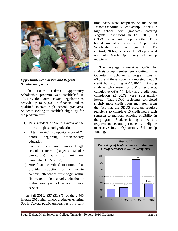

#### *Opportunity Scholarship and Regents Scholar Recipients*

The South Dakota Opportunity Scholarship program was established in 2004 by the South Dakota Legislature to provide up to \$5,000 in financial aid to qualified in-state high school graduates. Students seeking to establish eligibility for the program must:

- 1) Be a resident of South Dakota at the time of high school graduation;
- 2) Obtain an ACT composite score of 24 before beginning postsecondary education;
- 3) Complete the required number of high school courses (Regents Scholar curriculum) with a minimum cumulative GPA of 3.0;
- 4) Attend an accredited institution that provides instruction from an in-state campus; attendance must begin within five years of high school graduation or within one year of active military service.

In Fall 2010, 937 (31.9%) of the 2,940 in-state 2010 high school graduates entering South Dakota public universities on a fulltime basis were recipients of the South Dakota Opportunity Scholarship. Of the 172 high schools with graduates entering Regental institutions in Fall 2010, 33 (19.2%) had at least fifty percent their BORbound graduates receive an Opportunity Scholarship award (see Figure 10). By contrast, 20 high schools (11.6%) produced no South Dakota Opportunity Scholarship recipients.

The average cumulative GPA for analysis group members participating in the Opportunity Scholarship program was *xˉ*  $\pm$ 3.33, and these students completed  $\bar{x}$  =30.3 credit hours during AY2010-11. Among students who were not SDOS recipients, cumulative GPA  $(\bar{x}=2.48)$  and credit hour completion  $(\bar{x} = 20.7)$  were substantially lower. That SDOS recipients completed slightly more credit hours may stem from the fact that the SDOS program requires recipients to complete 15 credit hours each semester to maintain ongoing eligibility in the program. Students failing to meet this requirement become permanently ineligible to receive future Opportunity Scholarship funding.



South Dakota High School to College Transition Report: 2010 Graduates Page 18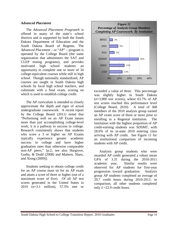#### *Advanced Placement*

The *Advanced Placement Program*® is offered in many of the state's school districts and is supported by both the South Dakota Department of Education and the South Dakota Board of Regents. The *Advanced Placement* – or "AP" – program is operated by the College Board (the same organization that administers the SAT and CLEP testing programs), and provides motivated high school students an opportunity to complete one or more of 34 college-equivalent courses while still in high school. Though nationally standardized, AP courses are taught in South Dakota high schools by local high school teachers, and culminate with a final exam, scoring on which is used to establish college credit.

The AP curriculum is intended to closely approximate the depth and rigor of actual undergraduate coursework. A recent report by the College Board (2011) noted that "Performing well on an AP Exam means more than just accomplishing college-level work; it is a pathway to success in college. Research consistently shows that students who score a 3 or higher on AP Exams typically experience greater academic success in college and have higher graduation rates than otherwise comparable non-AP peers," [p.2; see also Hargrove, Godin, & Dodd (2008) and Mattern, Shaw, and Xiong (2009)].

Students seeking to obtain college credit for an AP course must sit for an AP exam and attain a score of three or higher (out of a maximum score of five). Of all AP test scores generated in the United States in 2010 (*n*=3.1 million), 57.5% met or



exceeded a value of three. This percentage was slightly higher in South Dakota  $(n=3,900$  test scores), where 63.7% of AP test scores reached this performance level (College Board, 2010). A total of 368 members of the 2010 analysis group earned an AP exam score of three or more prior to enrolling in a Regental institution. The institution with the highest proportion of AP credit-earning students was SDSMT, with 28.6% of its in-state 2010 entering class arriving with AP credit. See Figure 11 for an institutional comparison of incoming students with AP credit.

Analysis group students who were awarded AP credit generated a robust mean GPA of 3.31 during the 2010-2011 academic year. Similar results were observed for AP students for first-year progression toward graduation. Analysis group AP students completed an average of 29.7 credit hours during 2010-2011; in comparison, all other students completed only  $\bar{x}$  =22.9 credit hours.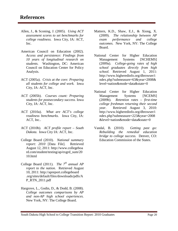- Allen, J., & Sconing, J. (2005). *Using ACT assessment scores to set benchmarks for college readiness.* Iowa City, IA: ACT, Inc.
- American Council on Education (2002). *Access and persistence: Findings from 10 years of longitudinal research on students.* Washington, DC: American Council on Education Center for Policy Analysis.
- ACT (2005a). *Crisis at the core: Preparing all students for college and work.* Iowa City, IA: ACT, Inc.
- ACT (2005b). *Courses count: Preparing students for postsecondary success.* Iowa City, IA: ACT, Inc.
- ACT (2010a). *What are ACT's college readiness benchmarks.* Iowa City, IA: ACT, Inc..
- ACT (2010b). *ACT profile report – South Dakota.* Iowa City IA: ACT, Inc.
- College Board (2010). *National summary report: 2010* [Data File]. Retrieved August 12, 2011: http://www.collegeboa rd.com/student/testing/ap/exgrd\_sum/20 10.html
- College Board (2011). *The*  $7<sup>th</sup>$  *annual AP report to the nation.* Retrieved August 10, 2011: http://apreport.collegeboard .org/sites/default/files/downloads/pdfs/A P\_RTN\_2011.pdf
- Hargrove, L., Godin, D., & Dodd, B. (2008). *College outcomes comparisons by AP and non-AP high school experiences.* New York, NY: The College Board.
- Mattern, K.D., Shaw, E.J., & Xiong, X. (2009). *The relationship between AP exam performance and college outcomes.* New York, NY: The College Board.
- National Center for Higher Education Management Systems [NCHEMS] (2009a). *College-going rates of high school graduates directly from high school.* Retrieved August 1, 2011: http://www.higheredinfo.org/dbrowser/i ndex.php?submeasure=63&year=2008& level=nation&mode=data&state=0
- National Center for Higher Education Management Systems [NCEMS] (2009b). *Retention rates – first-time college freshman returning their second year.* Retrieved August 3, 2010: http://www.higheredinfo.org/dbrowser/i ndex.php?submeasure=223&year=2008 &level=nation&mode=data&state=0
- Vandal, B. (2010). *Getting past go: Rebuilding the remedial education bridge to college success.* Denver, CO: Education Commission of the States.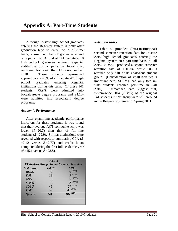Although in-state high school graduates entering the Regental system directly after graduation tend to enroll on a full-time basis, a small number of graduates attend only part-time. A total of 141 in-state 2010 high school graduates entered Regental institutions on a part-time basis (i.e., registered for fewer than 12 hours) in Fall 2010. These students represented approximately 4.6% of all in-state 2010 high school graduates entering Regental institutions during this term. Of these 141 students, 75.9% were admitted into baccalaureate degree programs and 24.1% were admitted into associate's degree programs.

#### *Academic Performance*

After examining academic performance indicators for these students, it was found that their average ACT composite score was lower  $(\bar{x} = 20.7)$  than that of full-time students  $(\bar{x} = 22.9)$ . Similar distinctions were revealed with respect to cumulative GPA (*xˉ*  $=2.42$  versus  $\bar{x}=2.77$ ) and credit hours completed during the first full academic year  $(\bar{x} = 15.1 \text{ versus } \bar{x} = 23.8).$ 

| Table 9                                             |             |                |  |  |  |  |
|-----------------------------------------------------|-------------|----------------|--|--|--|--|
| <b>PT</b> Analysis Group: Second Semester Retention |             |                |  |  |  |  |
| <b>Institution</b>                                  | <b>FA10</b> | <b>SP11</b>    |  |  |  |  |
| <b>BHSU</b>                                         | 12          | $6^{(50\%)}$   |  |  |  |  |
| <b>DSU</b>                                          | 13          | $9^{(69\%)}$   |  |  |  |  |
| <b>NSU</b>                                          | 6           | (83%)          |  |  |  |  |
| <b>SDSMT</b>                                        | 2           | $2^{(100\%)}$  |  |  |  |  |
| <b>SDSU</b>                                         | 49          | $27^{(55\%)}$  |  |  |  |  |
| <b>USD</b>                                          | 59          | 43 (73%)       |  |  |  |  |
| <b>System</b>                                       | 141         | $107^{(65\%)}$ |  |  |  |  |
|                                                     |             |                |  |  |  |  |
|                                                     |             |                |  |  |  |  |
|                                                     |             |                |  |  |  |  |

#### *Retention Rates*

Table 9 provides (intra-institutional) second semester retention data for in-state 2010 high school graduates entering the Regental system on a part-time basis in Fall 2010. SDSMT produced a second semester retention rate of 100.0%, while BHSU retained only half of its analogous student group. [Consideration of small *n*-values is important here; SDSMT had only two instate students enrolled part-time in Fall 2010]. Unmatched data suggest that, system-wide, 104 (73.8%) of the original 141 students in this group were still enrolled in the Regental system as of Spring 2011.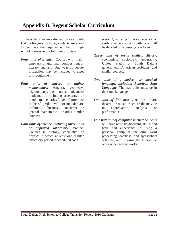# **Appendix B: Regent Scholar Curriculum**

In order to receive distinction as a South Dakota Regents' Scholar, students are asked to complete the required number of high school courses in the following subjects:

- *Four units of English*: Courses with major emphasis on grammar, composition, or literary analysis. One year of debate instruction may be included to meet this requirement;
- *Four units of algebra or higher mathematics*: Algebra, geometry, trigonometry, or other advanced mathematics, including accelerated or honors mathematics (algebra) provided at the  $8<sup>th</sup>$  grade level; not included are arithmetic, business, consumer or general mathematics, or other similar courses;
- *Four units of science, including three units of approved laboratory science*: Courses in biology, chemistry, or physics in which at least one regular laboratory period is scheduled each

week. Qualifying physical science or earth science courses (with lab) shall be decided on a case-by-case basis;

- *Three units of social studies*: History, economics, sociology, geography, United States or South Dakota government, American problems, and similar courses;
- *Two units of a modern or classical language, including American Sign Language*. The two units must be in the same language;
- *One unit of fine arts*: One unit in art, theatre, or music. Such credit may be in appreciation, analysis, or performance;
- *One half unit of computer science*: Students will have basic keyboarding skills, and have had experience in using a personal computer including word processing, database, and spreadsheet software, and in using the Internet or other wide area networks.